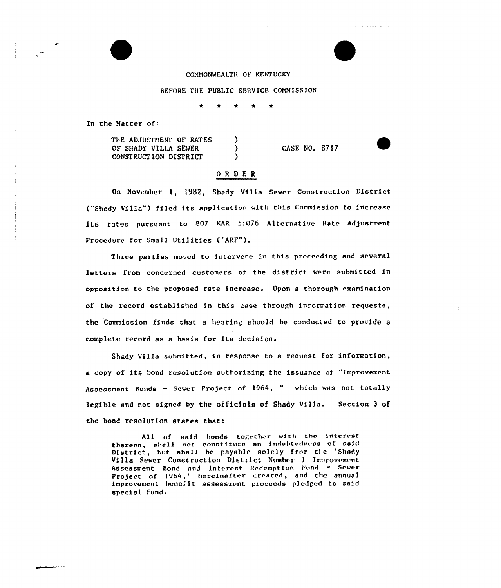COMMONWEALTH OF KENTUCKY

BEFORE THE PUBLIC SERVICE COMMISSION

In the Natter of:

THE ADJUSTMENT OF RATES )<br>OF SHADY VILLA SEWER ) OF SHADY VILLA SEWER (2008) CONSTRUCTION DISTRICT

## ORDER

CASE NO. 8ZIZ

 $\sim$  1000  $\sim$  1000  $\sim$  1000  $\sim$ 

On November 1, 1982, Shady Villa Sewer Construction District ("Shady Villa") filed its application with this Commission to increase its rates pursuant to 807 KAR 5:076 Alternative Rate Adjustment Procedure for Small Utilities ("ARF"}.

Three parties moved to intervene in this proceeding and several letters from concerned customers of the district were submitted in opposition to the proposed rate increase. Upon a thorough examination of the record established in this case through information requests, the Commission finds that a hearing should be conducted to provide a complete record as <sup>a</sup> basis for its decision.

Shady Villa submitted, in response to a request for information, a copy of its bond resolution authorizing the issuance of "improvement Assessment Bonds — Sewer Pro)ect of 1964, " which was not totally legible and not signed by the officials of Shady Villa. Section <sup>3</sup> of the bond resolution states that:

All of said honds together with the interest thereon, shall not constitute an indebtedness of said District, but shall be pnyahlc solely from the 'Shady Villa Sewer Construction District Number <sup>I</sup> Improvement Assessment Bond and Interest Redemption Fund - Sewer Project of 1964,' hereinafter created, and the annual improvement benefit assessment proceeds pledged to said special fund.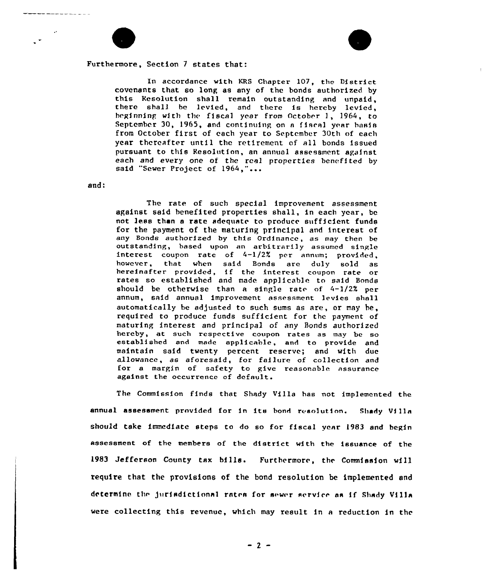Furthermore, Section <sup>7</sup> states that:

In accordance with KRS Chapter 107, the District covenants that so long as any of the bonds authorized by this kesalution shall remain outstanding and unpaid, there shall be levied, and there is hereby levied, beginning with the fiscal year from October 1, 1964, to September 30, 1965, and continuing on a fiscal year basis from October first of each year to September 30th of each year thereafter until the retirement of all bonds issued pursuant to this Resolution, an annual assessment against each and every one of the real properties benefited by said "Sewer Project of 1964,"...

and:

The rate of such special improvement assessment against said benefited properties shall, in each year, be not less than a rate adequate to produce sufficient funds for the payment of the maturing principal and interest of any Bonds authorized by this Ordinance, as may then be outstanding, based upon an arbitrarily assumed single interest coupon rate of  $4-1/2$ % per annum; provided, however, that when said Bonds are duly sold as hereinafter provided, if the interest coupon rate or rates so established and made applicable to said Bonds should be otherwise than a single rate of  $4-1/2\%$  per annum, said annual improvement assessment levies shall automatically be adjusted to such sums as are, or may he, required to produce funds sufficient for thc payment of maturing interest and principal of any Bonds authorized hereby, at such respective coupon rates as may be so established and made applicable, and to provide and maintain said twenty percent reserve; and with due allowance, as aforesaid, for failure of collection and for a margin of safety to give reasonable assurance against the occurrence of default.

The Commission finds that Shady Villa has not implemented the annual assessment provided for in its bond resolution. Shady Villa should take immediate steps to do so for fiscal year 1983 and begin assessment of the membere of the district with the issuance of the 1983 Jefferson County tax bills. Furthermore, the Commission will require that the provisions of the bond resolution be implemented and determine the jurisdictional rates for sewer service as if Shady Villa were collecting this revenue, which may result in a reduction in the